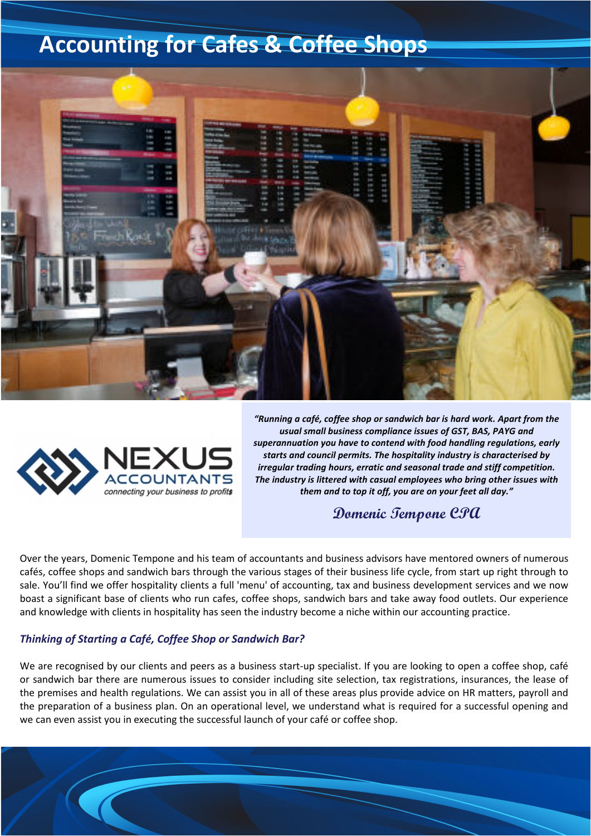# **Accounting for Cafes & Coffee Shops**





*"Running a café, coffee shop or sandwich bar is hard work. Apart from the usual small business compliance issues of GST, BAS, PAYG and superannuation you have to contend with food handling regulations, early starts and council permits. The hospitality industry is characterised by irregular trading hours, erratic and seasonal trade and stiff competition. The industry is littered with casual employees who bring other issues with them and to top it off, you are on your feet all day."* 

## **Domenic Tempone CPA**

Over the years, Domenic Tempone and his team of accountants and business advisors have mentored owners of numerous cafés, coffee shops and sandwich bars through the various stages of their business life cycle, from start up right through to sale. You'll find we offer hospitality clients a full 'menu' of accounting, tax and business development services and we now boast a significant base of clients who run cafes, coffee shops, sandwich bars and take away food outlets. Our experience and knowledge with clients in hospitality has seen the industry become a niche within our accounting practice.

#### *Thinking of Starting a Café, Coffee Shop or Sandwich Bar?*

We are recognised by our clients and peers as a business start-up specialist. If you are looking to open a coffee shop, café or sandwich bar there are numerous issues to consider including site selection, tax registrations, insurances, the lease of the premises and health regulations. We can assist you in all of these areas plus provide advice on HR matters, payroll and the preparation of a business plan. On an operational level, we understand what is required for a successful opening and we can even assist you in executing the successful launch of your café or coffee shop.